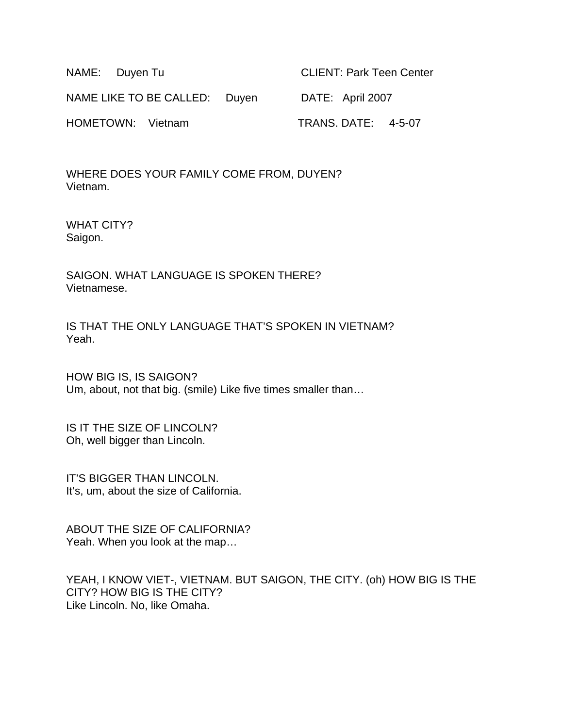| NAME: Duyen Tu                | <b>CLIENT: Park Teen Center</b> |
|-------------------------------|---------------------------------|
| NAME LIKE TO BE CALLED: Duyen | DATE: April 2007                |
| HOMETOWN: Vietnam             | <b>TRANS. DATE: 4-5-07</b>      |

WHERE DOES YOUR FAMILY COME FROM, DUYEN? Vietnam.

WHAT CITY? Saigon.

SAIGON. WHAT LANGUAGE IS SPOKEN THERE? Vietnamese.

IS THAT THE ONLY LANGUAGE THAT'S SPOKEN IN VIETNAM? Yeah.

HOW BIG IS, IS SAIGON? Um, about, not that big. (smile) Like five times smaller than…

IS IT THE SIZE OF LINCOLN? Oh, well bigger than Lincoln.

IT'S BIGGER THAN LINCOLN. It's, um, about the size of California.

ABOUT THE SIZE OF CALIFORNIA? Yeah. When you look at the map…

YEAH, I KNOW VIET-, VIETNAM. BUT SAIGON, THE CITY. (oh) HOW BIG IS THE CITY? HOW BIG IS THE CITY? Like Lincoln. No, like Omaha.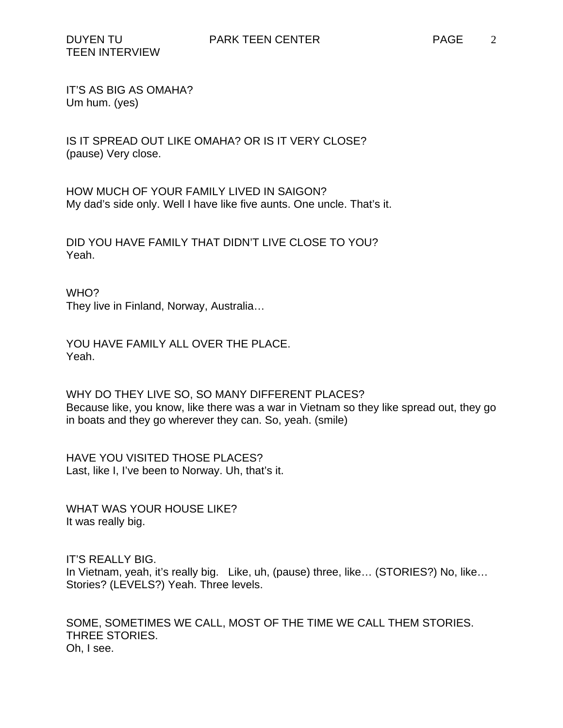IT'S AS BIG AS OMAHA? Um hum. (yes)

IS IT SPREAD OUT LIKE OMAHA? OR IS IT VERY CLOSE? (pause) Very close.

HOW MUCH OF YOUR FAMILY LIVED IN SAIGON? My dad's side only. Well I have like five aunts. One uncle. That's it.

DID YOU HAVE FAMILY THAT DIDN'T LIVE CLOSE TO YOU? Yeah.

WHO?

They live in Finland, Norway, Australia…

YOU HAVE FAMILY ALL OVER THE PLACE. Yeah.

WHY DO THEY LIVE SO, SO MANY DIFFERENT PLACES? Because like, you know, like there was a war in Vietnam so they like spread out, they go in boats and they go wherever they can. So, yeah. (smile)

HAVE YOU VISITED THOSE PLACES? Last, like I, I've been to Norway. Uh, that's it.

WHAT WAS YOUR HOUSE LIKE? It was really big.

IT'S REALLY BIG. In Vietnam, yeah, it's really big. Like, uh, (pause) three, like… (STORIES?) No, like… Stories? (LEVELS?) Yeah. Three levels.

SOME, SOMETIMES WE CALL, MOST OF THE TIME WE CALL THEM STORIES. THREE STORIES. Oh, I see.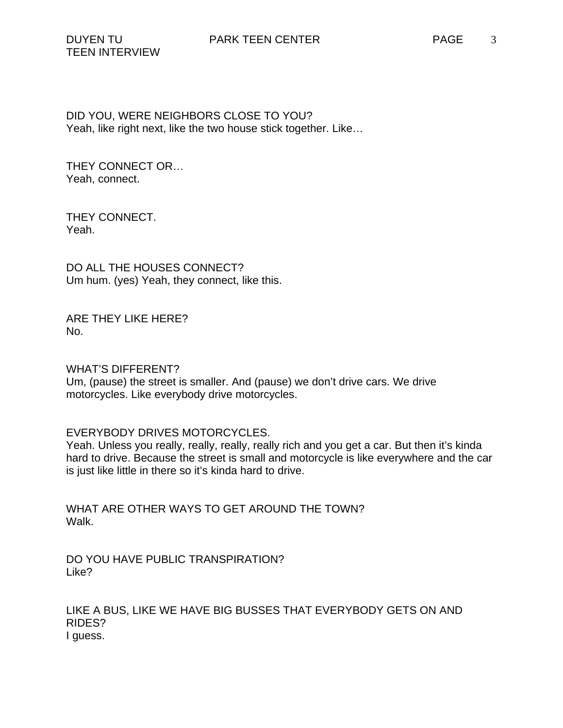DID YOU, WERE NEIGHBORS CLOSE TO YOU? Yeah, like right next, like the two house stick together. Like…

THEY CONNECT OR… Yeah, connect.

THEY CONNECT. Yeah.

DO ALL THE HOUSES CONNECT? Um hum. (yes) Yeah, they connect, like this.

ARE THEY LIKE HERE? No.

WHAT'S DIFFERENT?

Um, (pause) the street is smaller. And (pause) we don't drive cars. We drive motorcycles. Like everybody drive motorcycles.

### EVERYBODY DRIVES MOTORCYCLES.

Yeah. Unless you really, really, really, really rich and you get a car. But then it's kinda hard to drive. Because the street is small and motorcycle is like everywhere and the car is just like little in there so it's kinda hard to drive.

WHAT ARE OTHER WAYS TO GET AROUND THE TOWN? Walk.

DO YOU HAVE PUBLIC TRANSPIRATION? Like?

LIKE A BUS, LIKE WE HAVE BIG BUSSES THAT EVERYBODY GETS ON AND RIDES? I guess.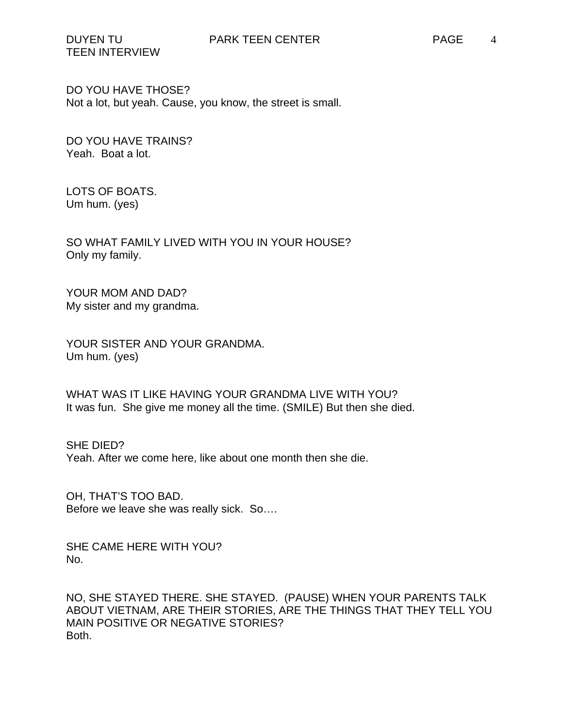TEEN INTERVIEW

DO YOU HAVE THOSE? Not a lot, but yeah. Cause, you know, the street is small.

DO YOU HAVE TRAINS? Yeah. Boat a lot.

LOTS OF BOATS. Um hum. (yes)

SO WHAT FAMILY LIVED WITH YOU IN YOUR HOUSE? Only my family.

YOUR MOM AND DAD? My sister and my grandma.

YOUR SISTER AND YOUR GRANDMA. Um hum. (yes)

WHAT WAS IT LIKE HAVING YOUR GRANDMA LIVE WITH YOU? It was fun. She give me money all the time. (SMILE) But then she died.

SHE DIED? Yeah. After we come here, like about one month then she die.

OH, THAT'S TOO BAD. Before we leave she was really sick. So….

SHE CAME HERE WITH YOU? No.

NO, SHE STAYED THERE. SHE STAYED. (PAUSE) WHEN YOUR PARENTS TALK ABOUT VIETNAM, ARE THEIR STORIES, ARE THE THINGS THAT THEY TELL YOU MAIN POSITIVE OR NEGATIVE STORIES? Both.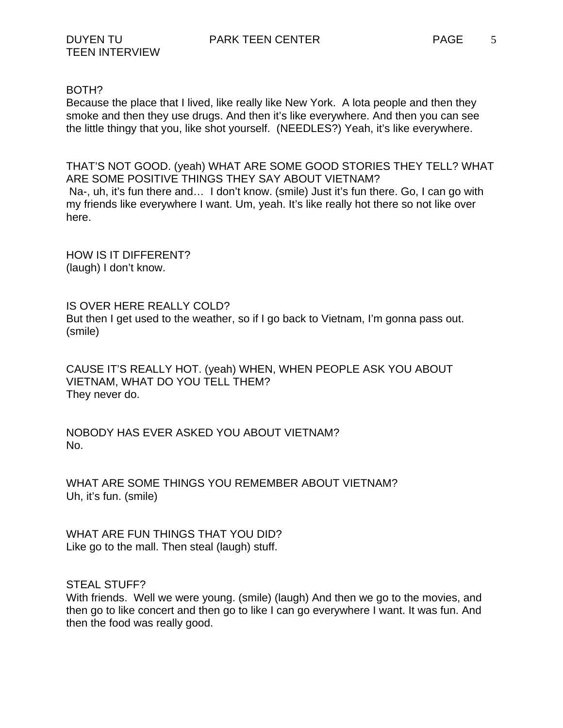## BOTH?

Because the place that I lived, like really like New York. A lota people and then they smoke and then they use drugs. And then it's like everywhere. And then you can see the little thingy that you, like shot yourself. (NEEDLES?) Yeah, it's like everywhere.

THAT'S NOT GOOD. (yeah) WHAT ARE SOME GOOD STORIES THEY TELL? WHAT ARE SOME POSITIVE THINGS THEY SAY ABOUT VIETNAM? Na-, uh, it's fun there and… I don't know. (smile) Just it's fun there. Go, I can go with my friends like everywhere I want. Um, yeah. It's like really hot there so not like over here.

HOW IS IT DIFFERENT? (laugh) I don't know.

IS OVER HERE REALLY COLD? But then I get used to the weather, so if I go back to Vietnam, I'm gonna pass out. (smile)

CAUSE IT'S REALLY HOT. (yeah) WHEN, WHEN PEOPLE ASK YOU ABOUT VIETNAM, WHAT DO YOU TELL THEM? They never do.

NOBODY HAS EVER ASKED YOU ABOUT VIETNAM? No.

WHAT ARE SOME THINGS YOU REMEMBER ABOUT VIETNAM? Uh, it's fun. (smile)

WHAT ARE FUN THINGS THAT YOU DID? Like go to the mall. Then steal (laugh) stuff.

STEAL STUFF?

With friends. Well we were young. (smile) (laugh) And then we go to the movies, and then go to like concert and then go to like I can go everywhere I want. It was fun. And then the food was really good.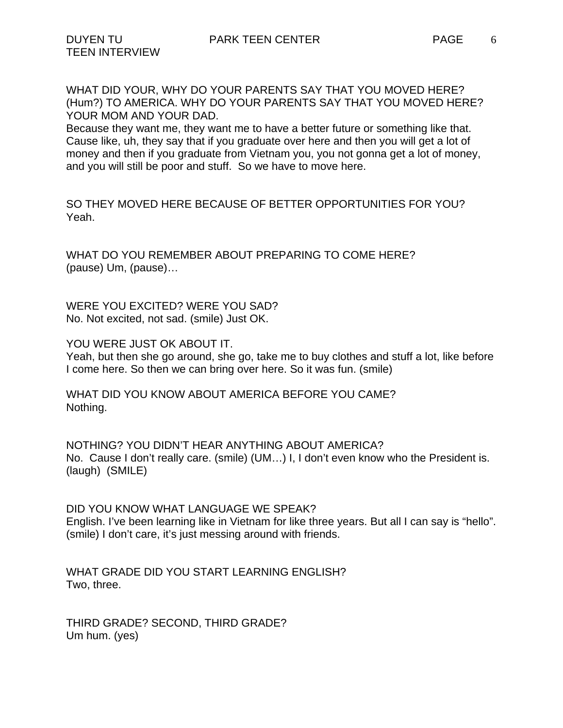WHAT DID YOUR, WHY DO YOUR PARENTS SAY THAT YOU MOVED HERE? (Hum?) TO AMERICA. WHY DO YOUR PARENTS SAY THAT YOU MOVED HERE? YOUR MOM AND YOUR DAD.

Because they want me, they want me to have a better future or something like that. Cause like, uh, they say that if you graduate over here and then you will get a lot of money and then if you graduate from Vietnam you, you not gonna get a lot of money, and you will still be poor and stuff. So we have to move here.

SO THEY MOVED HERE BECAUSE OF BETTER OPPORTUNITIES FOR YOU? Yeah.

WHAT DO YOU REMEMBER ABOUT PREPARING TO COME HERE? (pause) Um, (pause)…

WERE YOU EXCITED? WERE YOU SAD? No. Not excited, not sad. (smile) Just OK.

YOU WERE JUST OK ABOUT IT.

Yeah, but then she go around, she go, take me to buy clothes and stuff a lot, like before I come here. So then we can bring over here. So it was fun. (smile)

WHAT DID YOU KNOW ABOUT AMERICA BEFORE YOU CAME? Nothing.

NOTHING? YOU DIDN'T HEAR ANYTHING ABOUT AMERICA? No. Cause I don't really care. (smile) (UM…) I, I don't even know who the President is. (laugh) (SMILE)

DID YOU KNOW WHAT LANGUAGE WE SPEAK? English. I've been learning like in Vietnam for like three years. But all I can say is "hello". (smile) I don't care, it's just messing around with friends.

WHAT GRADE DID YOU START LEARNING ENGLISH? Two, three.

THIRD GRADE? SECOND, THIRD GRADE? Um hum. (yes)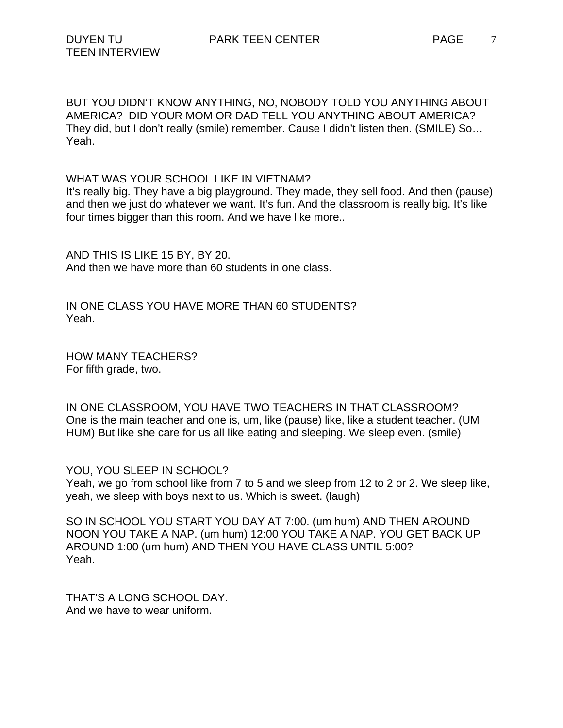BUT YOU DIDN'T KNOW ANYTHING, NO, NOBODY TOLD YOU ANYTHING ABOUT AMERICA? DID YOUR MOM OR DAD TELL YOU ANYTHING ABOUT AMERICA? They did, but I don't really (smile) remember. Cause I didn't listen then. (SMILE) So… Yeah.

WHAT WAS YOUR SCHOOL LIKE IN VIETNAM?

It's really big. They have a big playground. They made, they sell food. And then (pause) and then we just do whatever we want. It's fun. And the classroom is really big. It's like four times bigger than this room. And we have like more..

AND THIS IS LIKE 15 BY, BY 20. And then we have more than 60 students in one class.

IN ONE CLASS YOU HAVE MORE THAN 60 STUDENTS? Yeah.

HOW MANY TEACHERS? For fifth grade, two.

IN ONE CLASSROOM, YOU HAVE TWO TEACHERS IN THAT CLASSROOM? One is the main teacher and one is, um, like (pause) like, like a student teacher. (UM HUM) But like she care for us all like eating and sleeping. We sleep even. (smile)

YOU, YOU SLEEP IN SCHOOL? Yeah, we go from school like from 7 to 5 and we sleep from 12 to 2 or 2. We sleep like, yeah, we sleep with boys next to us. Which is sweet. (laugh)

SO IN SCHOOL YOU START YOU DAY AT 7:00. (um hum) AND THEN AROUND NOON YOU TAKE A NAP. (um hum) 12:00 YOU TAKE A NAP. YOU GET BACK UP AROUND 1:00 (um hum) AND THEN YOU HAVE CLASS UNTIL 5:00? Yeah.

THAT'S A LONG SCHOOL DAY. And we have to wear uniform.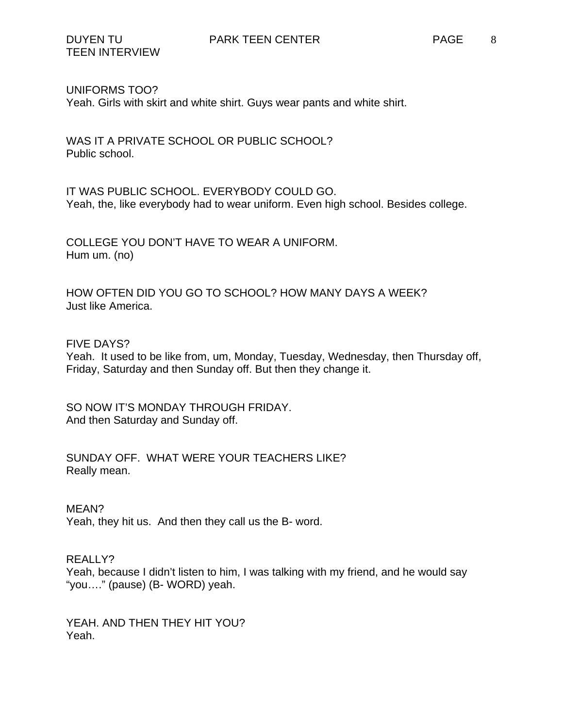### UNIFORMS TOO?

Yeah. Girls with skirt and white shirt. Guys wear pants and white shirt.

WAS IT A PRIVATE SCHOOL OR PUBLIC SCHOOL? Public school.

IT WAS PUBLIC SCHOOL. EVERYBODY COULD GO. Yeah, the, like everybody had to wear uniform. Even high school. Besides college.

COLLEGE YOU DON'T HAVE TO WEAR A UNIFORM. Hum um. (no)

HOW OFTEN DID YOU GO TO SCHOOL? HOW MANY DAYS A WEEK? Just like America.

### FIVE DAYS?

Yeah. It used to be like from, um, Monday, Tuesday, Wednesday, then Thursday off, Friday, Saturday and then Sunday off. But then they change it.

SO NOW IT'S MONDAY THROUGH FRIDAY. And then Saturday and Sunday off.

SUNDAY OFF. WHAT WERE YOUR TEACHERS LIKE? Really mean.

#### MEAN?

Yeah, they hit us. And then they call us the B- word.

### REALLY?

Yeah, because I didn't listen to him, I was talking with my friend, and he would say "you…." (pause) (B- WORD) yeah.

YEAH. AND THEN THEY HIT YOU? Yeah.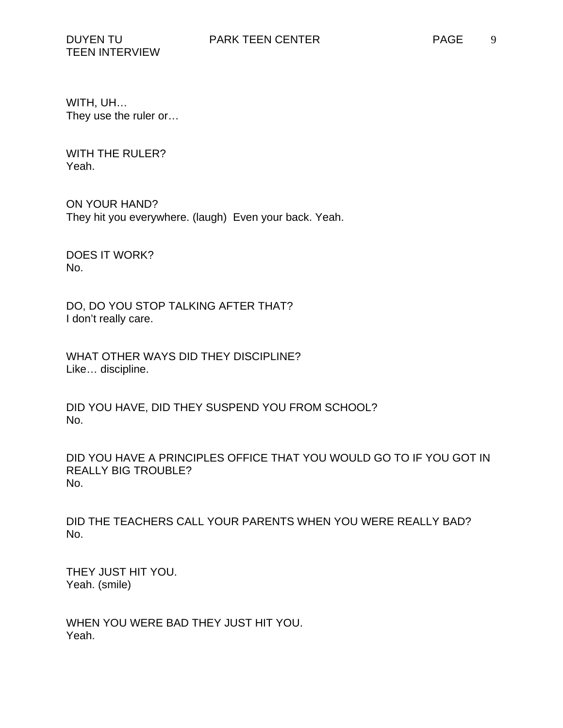WITH, UH… They use the ruler or…

WITH THE RULER? Yeah.

ON YOUR HAND? They hit you everywhere. (laugh) Even your back. Yeah.

DOES IT WORK? No.

DO, DO YOU STOP TALKING AFTER THAT? I don't really care.

WHAT OTHER WAYS DID THEY DISCIPLINE? Like… discipline.

DID YOU HAVE, DID THEY SUSPEND YOU FROM SCHOOL? No.

DID YOU HAVE A PRINCIPLES OFFICE THAT YOU WOULD GO TO IF YOU GOT IN REALLY BIG TROUBLE? No.

DID THE TEACHERS CALL YOUR PARENTS WHEN YOU WERE REALLY BAD? No.

THEY JUST HIT YOU. Yeah. (smile)

WHEN YOU WERE BAD THEY JUST HIT YOU. Yeah.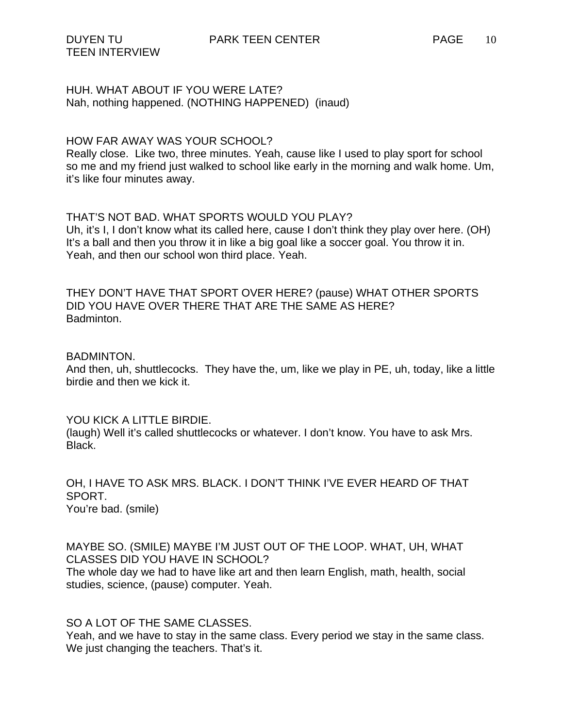# HUH. WHAT ABOUT IF YOU WERE LATE? Nah, nothing happened. (NOTHING HAPPENED) (inaud)

### HOW FAR AWAY WAS YOUR SCHOOL?

Really close. Like two, three minutes. Yeah, cause like I used to play sport for school so me and my friend just walked to school like early in the morning and walk home. Um, it's like four minutes away.

## THAT'S NOT BAD. WHAT SPORTS WOULD YOU PLAY?

Uh, it's I, I don't know what its called here, cause I don't think they play over here. (OH) It's a ball and then you throw it in like a big goal like a soccer goal. You throw it in. Yeah, and then our school won third place. Yeah.

THEY DON'T HAVE THAT SPORT OVER HERE? (pause) WHAT OTHER SPORTS DID YOU HAVE OVER THERE THAT ARE THE SAME AS HERE? Badminton.

### BADMINTON.

And then, uh, shuttlecocks. They have the, um, like we play in PE, uh, today, like a little birdie and then we kick it.

### YOU KICK A LITTLE BIRDIE.

(laugh) Well it's called shuttlecocks or whatever. I don't know. You have to ask Mrs. Black.

OH, I HAVE TO ASK MRS. BLACK. I DON'T THINK I'VE EVER HEARD OF THAT SPORT. You're bad. (smile)

MAYBE SO. (SMILE) MAYBE I'M JUST OUT OF THE LOOP. WHAT, UH, WHAT CLASSES DID YOU HAVE IN SCHOOL?

The whole day we had to have like art and then learn English, math, health, social studies, science, (pause) computer. Yeah.

# SO A LOT OF THE SAME CLASSES.

Yeah, and we have to stay in the same class. Every period we stay in the same class. We just changing the teachers. That's it.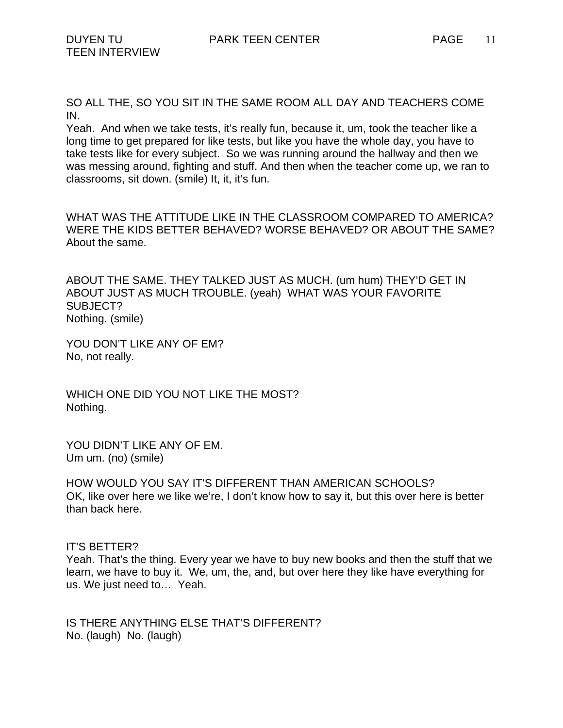Yeah. And when we take tests, it's really fun, because it, um, took the teacher like a long time to get prepared for like tests, but like you have the whole day, you have to take tests like for every subject. So we was running around the hallway and then we was messing around, fighting and stuff. And then when the teacher come up, we ran to classrooms, sit down. (smile) It, it, it's fun.

WHAT WAS THE ATTITUDE LIKE IN THE CLASSROOM COMPARED TO AMERICA? WERE THE KIDS BETTER BEHAVED? WORSE BEHAVED? OR ABOUT THE SAME? About the same.

ABOUT THE SAME. THEY TALKED JUST AS MUCH. (um hum) THEY'D GET IN ABOUT JUST AS MUCH TROUBLE. (yeah) WHAT WAS YOUR FAVORITE SUBJECT? Nothing. (smile)

YOU DON'T LIKE ANY OF EM? No, not really.

WHICH ONE DID YOU NOT LIKE THE MOST? Nothing.

YOU DIDN'T LIKE ANY OF EM. Um um. (no) (smile)

HOW WOULD YOU SAY IT'S DIFFERENT THAN AMERICAN SCHOOLS? OK, like over here we like we're, I don't know how to say it, but this over here is better than back here.

# IT'S BETTER?

Yeah. That's the thing. Every year we have to buy new books and then the stuff that we learn, we have to buy it. We, um, the, and, but over here they like have everything for us. We just need to… Yeah.

IS THERE ANYTHING ELSE THAT'S DIFFERENT? No. (laugh) No. (laugh)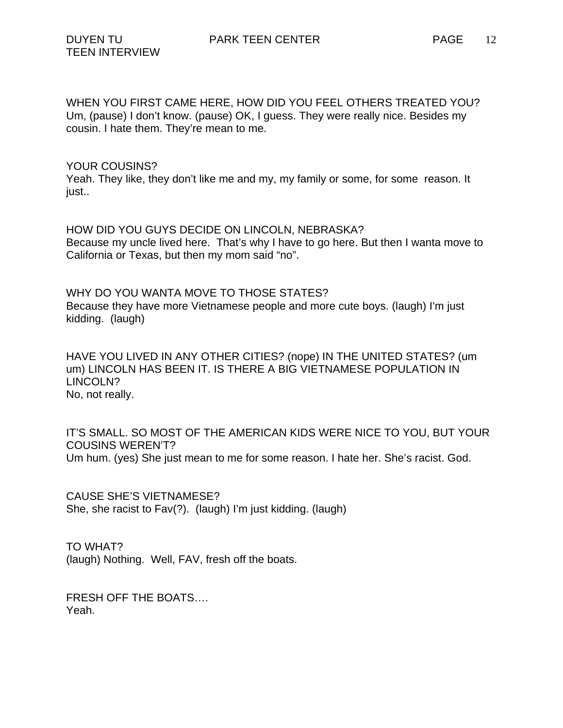WHEN YOU FIRST CAME HERE, HOW DID YOU FEEL OTHERS TREATED YOU? Um, (pause) I don't know. (pause) OK, I guess. They were really nice. Besides my cousin. I hate them. They're mean to me.

### YOUR COUSINS?

Yeah. They like, they don't like me and my, my family or some, for some reason. It just..

HOW DID YOU GUYS DECIDE ON LINCOLN, NEBRASKA? Because my uncle lived here. That's why I have to go here. But then I wanta move to California or Texas, but then my mom said "no".

WHY DO YOU WANTA MOVE TO THOSE STATES? Because they have more Vietnamese people and more cute boys. (laugh) I'm just kidding. (laugh)

HAVE YOU LIVED IN ANY OTHER CITIES? (nope) IN THE UNITED STATES? (um um) LINCOLN HAS BEEN IT. IS THERE A BIG VIETNAMESE POPULATION IN LINCOLN? No, not really.

IT'S SMALL. SO MOST OF THE AMERICAN KIDS WERE NICE TO YOU, BUT YOUR COUSINS WEREN'T? Um hum. (yes) She just mean to me for some reason. I hate her. She's racist. God.

CAUSE SHE'S VIETNAMESE? She, she racist to Fav(?). (laugh) I'm just kidding. (laugh)

TO WHAT? (laugh) Nothing. Well, FAV, fresh off the boats.

FRESH OFF THE BOATS…. Yeah.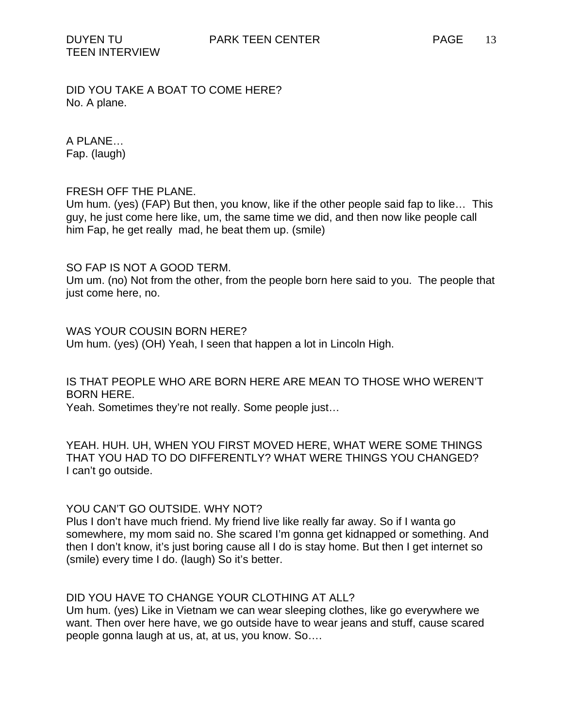DID YOU TAKE A BOAT TO COME HERE? No. A plane.

A PLANE… Fap. (laugh)

## FRESH OFF THE PLANE.

Um hum. (yes) (FAP) But then, you know, like if the other people said fap to like… This guy, he just come here like, um, the same time we did, and then now like people call him Fap, he get really mad, he beat them up. (smile)

## SO FAP IS NOT A GOOD TERM.

Um um. (no) Not from the other, from the people born here said to you. The people that just come here, no.

WAS YOUR COUSIN BORN HERE? Um hum. (yes) (OH) Yeah, I seen that happen a lot in Lincoln High.

IS THAT PEOPLE WHO ARE BORN HERE ARE MEAN TO THOSE WHO WEREN'T BORN HERE.

Yeah. Sometimes they're not really. Some people just…

YEAH. HUH. UH, WHEN YOU FIRST MOVED HERE, WHAT WERE SOME THINGS THAT YOU HAD TO DO DIFFERENTLY? WHAT WERE THINGS YOU CHANGED? I can't go outside.

### YOU CAN'T GO OUTSIDE. WHY NOT?

Plus I don't have much friend. My friend live like really far away. So if I wanta go somewhere, my mom said no. She scared I'm gonna get kidnapped or something. And then I don't know, it's just boring cause all I do is stay home. But then I get internet so (smile) every time I do. (laugh) So it's better.

# DID YOU HAVE TO CHANGE YOUR CLOTHING AT ALL?

Um hum. (yes) Like in Vietnam we can wear sleeping clothes, like go everywhere we want. Then over here have, we go outside have to wear jeans and stuff, cause scared people gonna laugh at us, at, at us, you know. So….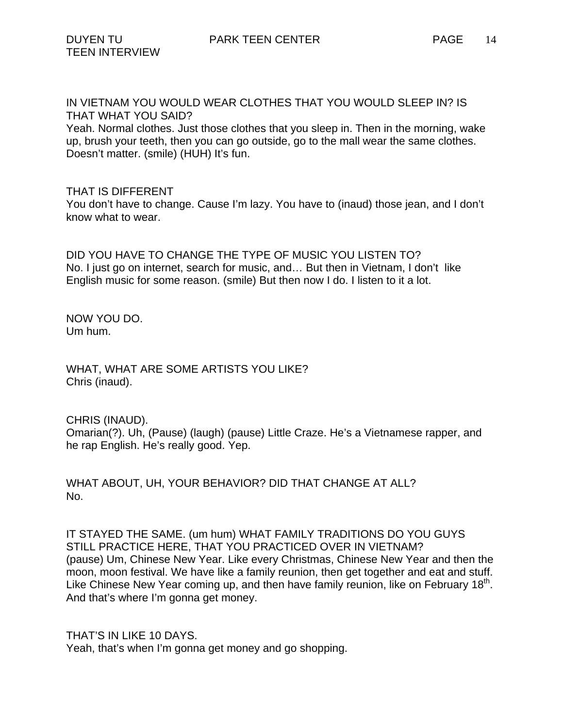IN VIETNAM YOU WOULD WEAR CLOTHES THAT YOU WOULD SLEEP IN? IS THAT WHAT YOU SAID?

Yeah. Normal clothes. Just those clothes that you sleep in. Then in the morning, wake up, brush your teeth, then you can go outside, go to the mall wear the same clothes. Doesn't matter. (smile) (HUH) It's fun.

## THAT IS DIFFERENT

You don't have to change. Cause I'm lazy. You have to (inaud) those jean, and I don't know what to wear.

DID YOU HAVE TO CHANGE THE TYPE OF MUSIC YOU LISTEN TO? No. I just go on internet, search for music, and… But then in Vietnam, I don't like English music for some reason. (smile) But then now I do. I listen to it a lot.

NOW YOU DO. Um hum.

WHAT, WHAT ARE SOME ARTISTS YOU LIKE? Chris (inaud).

CHRIS (INAUD).

Omarian(?). Uh, (Pause) (laugh) (pause) Little Craze. He's a Vietnamese rapper, and he rap English. He's really good. Yep.

WHAT ABOUT, UH, YOUR BEHAVIOR? DID THAT CHANGE AT ALL? No.

IT STAYED THE SAME. (um hum) WHAT FAMILY TRADITIONS DO YOU GUYS STILL PRACTICE HERE, THAT YOU PRACTICED OVER IN VIETNAM? (pause) Um, Chinese New Year. Like every Christmas, Chinese New Year and then the moon, moon festival. We have like a family reunion, then get together and eat and stuff. Like Chinese New Year coming up, and then have family reunion, like on February 18<sup>th</sup>. And that's where I'm gonna get money.

THAT'S IN LIKE 10 DAYS. Yeah, that's when I'm gonna get money and go shopping.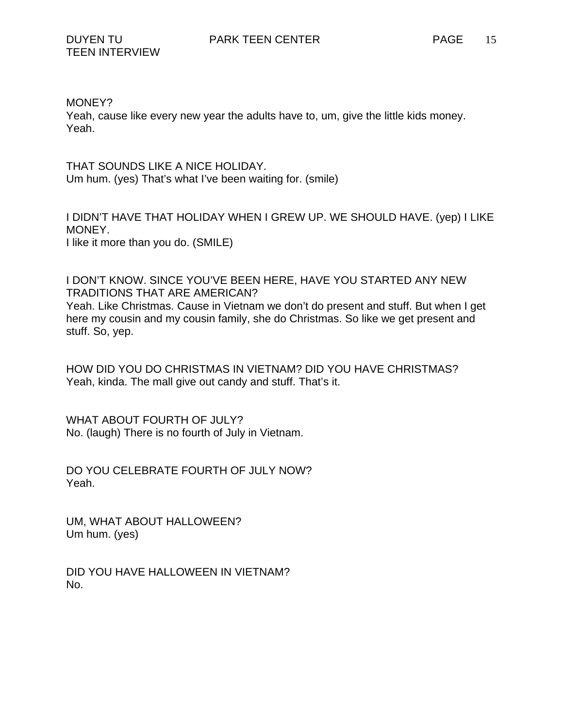MONEY?

Yeah, cause like every new year the adults have to, um, give the little kids money. Yeah.

THAT SOUNDS LIKE A NICE HOLIDAY. Um hum. (yes) That's what I've been waiting for. (smile)

I DIDN'T HAVE THAT HOLIDAY WHEN I GREW UP. WE SHOULD HAVE. (yep) I LIKE MONEY. I like it more than you do. (SMILE)

I DON'T KNOW. SINCE YOU'VE BEEN HERE, HAVE YOU STARTED ANY NEW TRADITIONS THAT ARE AMERICAN?

Yeah. Like Christmas. Cause in Vietnam we don't do present and stuff. But when I get here my cousin and my cousin family, she do Christmas. So like we get present and stuff. So, yep.

HOW DID YOU DO CHRISTMAS IN VIETNAM? DID YOU HAVE CHRISTMAS? Yeah, kinda. The mall give out candy and stuff. That's it.

WHAT ABOUT FOURTH OF JULY? No. (laugh) There is no fourth of July in Vietnam.

DO YOU CELEBRATE FOURTH OF JULY NOW? Yeah.

UM, WHAT ABOUT HALLOWEEN? Um hum. (yes)

DID YOU HAVE HALLOWEEN IN VIETNAM? No.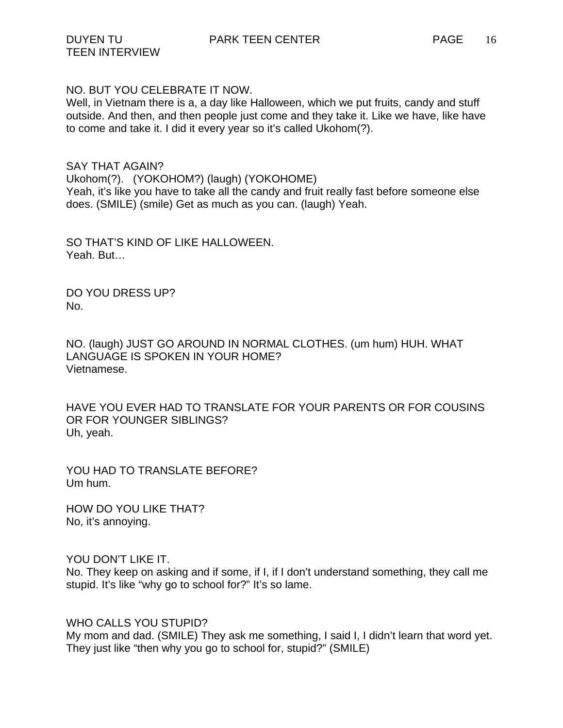NO. BUT YOU CELEBRATE IT NOW.

Well, in Vietnam there is a, a day like Halloween, which we put fruits, candy and stuff outside. And then, and then people just come and they take it. Like we have, like have to come and take it. I did it every year so it's called Ukohom(?).

SAY THAT AGAIN? Ukohom(?). (YOKOHOM?) (laugh) (YOKOHOME) Yeah, it's like you have to take all the candy and fruit really fast before someone else does. (SMILE) (smile) Get as much as you can. (laugh) Yeah.

SO THAT'S KIND OF LIKE HALLOWEEN. Yeah. But…

DO YOU DRESS UP? No.

NO. (laugh) JUST GO AROUND IN NORMAL CLOTHES. (um hum) HUH. WHAT LANGUAGE IS SPOKEN IN YOUR HOME? Vietnamese.

HAVE YOU EVER HAD TO TRANSLATE FOR YOUR PARENTS OR FOR COUSINS OR FOR YOUNGER SIBLINGS? Uh, yeah.

YOU HAD TO TRANSLATE BEFORE? Um hum.

HOW DO YOU LIKE THAT? No, it's annoying.

YOU DON'T LIKE IT.

No. They keep on asking and if some, if I, if I don't understand something, they call me stupid. It's like "why go to school for?" It's so lame.

WHO CALLS YOU STUPID?

My mom and dad. (SMILE) They ask me something, I said I, I didn't learn that word yet. They just like "then why you go to school for, stupid?" (SMILE)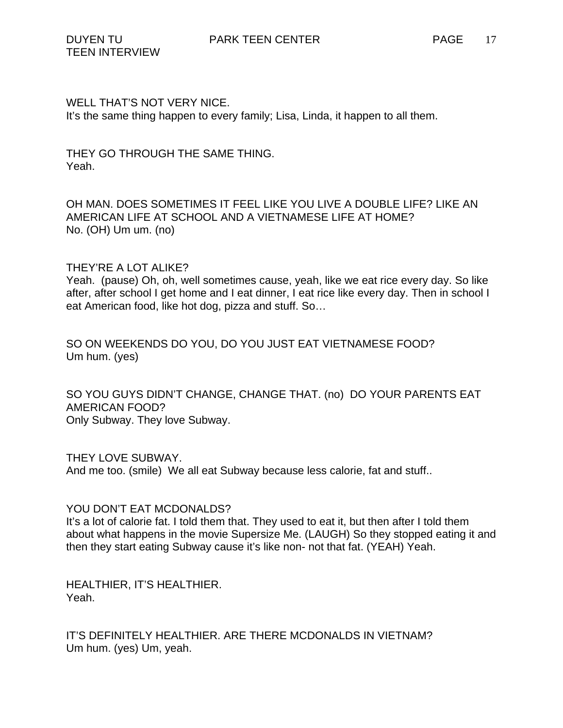WELL THAT'S NOT VERY NICE. It's the same thing happen to every family; Lisa, Linda, it happen to all them.

THEY GO THROUGH THE SAME THING. Yeah.

OH MAN. DOES SOMETIMES IT FEEL LIKE YOU LIVE A DOUBLE LIFE? LIKE AN AMERICAN LIFE AT SCHOOL AND A VIETNAMESE LIFE AT HOME? No. (OH) Um um. (no)

THEY'RE A LOT ALIKE?

Yeah. (pause) Oh, oh, well sometimes cause, yeah, like we eat rice every day. So like after, after school I get home and I eat dinner, I eat rice like every day. Then in school I eat American food, like hot dog, pizza and stuff. So…

SO ON WEEKENDS DO YOU, DO YOU JUST EAT VIETNAMESE FOOD? Um hum. (yes)

SO YOU GUYS DIDN'T CHANGE, CHANGE THAT. (no) DO YOUR PARENTS EAT AMERICAN FOOD? Only Subway. They love Subway.

THEY LOVE SUBWAY. And me too. (smile) We all eat Subway because less calorie, fat and stuff..

YOU DON'T EAT MCDONALDS?

It's a lot of calorie fat. I told them that. They used to eat it, but then after I told them about what happens in the movie Supersize Me. (LAUGH) So they stopped eating it and then they start eating Subway cause it's like non- not that fat. (YEAH) Yeah.

HEALTHIER, IT'S HEALTHIER. Yeah.

IT'S DEFINITELY HEALTHIER. ARE THERE MCDONALDS IN VIETNAM? Um hum. (yes) Um, yeah.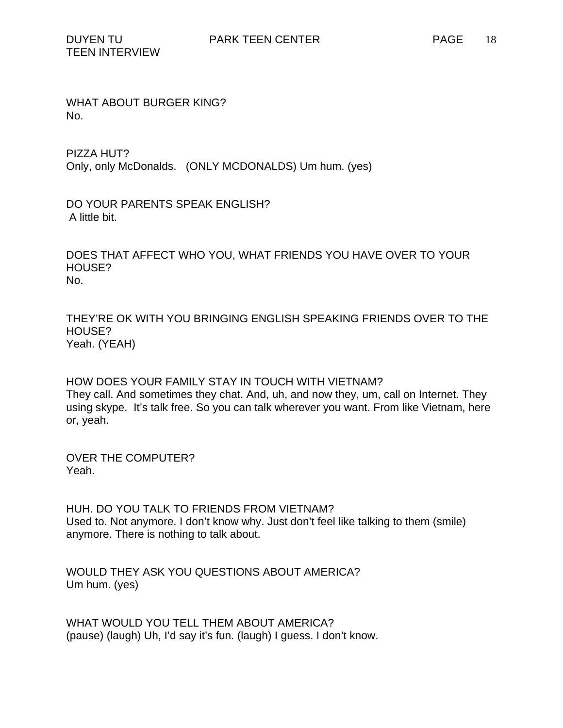WHAT ABOUT BURGER KING? No.

PIZZA HUT? Only, only McDonalds. (ONLY MCDONALDS) Um hum. (yes)

DO YOUR PARENTS SPEAK ENGLISH? A little bit.

DOES THAT AFFECT WHO YOU, WHAT FRIENDS YOU HAVE OVER TO YOUR HOUSE? No.

THEY'RE OK WITH YOU BRINGING ENGLISH SPEAKING FRIENDS OVER TO THE HOUSE? Yeah. (YEAH)

HOW DOES YOUR FAMILY STAY IN TOUCH WITH VIETNAM? They call. And sometimes they chat. And, uh, and now they, um, call on Internet. They using skype. It's talk free. So you can talk wherever you want. From like Vietnam, here or, yeah.

OVER THE COMPUTER? Yeah.

HUH. DO YOU TALK TO FRIENDS FROM VIETNAM? Used to. Not anymore. I don't know why. Just don't feel like talking to them (smile) anymore. There is nothing to talk about.

WOULD THEY ASK YOU QUESTIONS ABOUT AMERICA? Um hum. (yes)

WHAT WOULD YOU TELL THEM ABOUT AMERICA? (pause) (laugh) Uh, I'd say it's fun. (laugh) I guess. I don't know.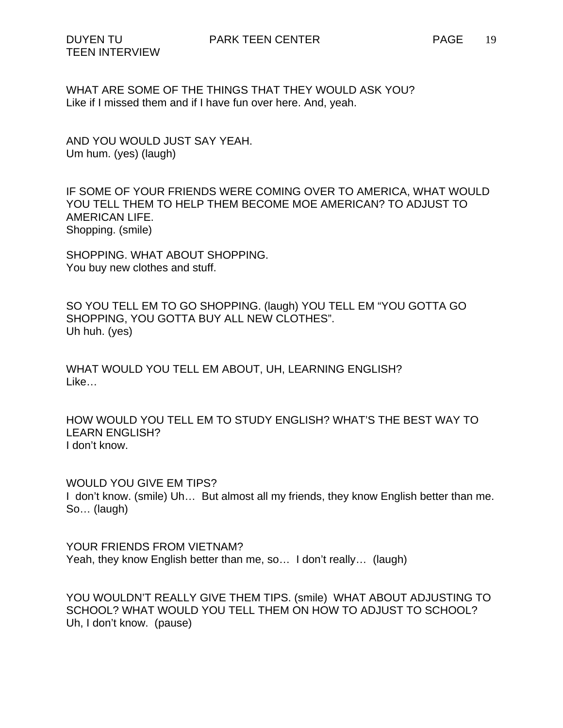WHAT ARE SOME OF THE THINGS THAT THEY WOULD ASK YOU? Like if I missed them and if I have fun over here. And, yeah.

AND YOU WOULD JUST SAY YEAH. Um hum. (yes) (laugh)

IF SOME OF YOUR FRIENDS WERE COMING OVER TO AMERICA, WHAT WOULD YOU TELL THEM TO HELP THEM BECOME MOE AMERICAN? TO ADJUST TO AMERICAN LIFE. Shopping. (smile)

SHOPPING. WHAT ABOUT SHOPPING. You buy new clothes and stuff.

SO YOU TELL EM TO GO SHOPPING. (laugh) YOU TELL EM "YOU GOTTA GO SHOPPING, YOU GOTTA BUY ALL NEW CLOTHES". Uh huh. (yes)

WHAT WOULD YOU TELL EM ABOUT, UH, LEARNING ENGLISH? Like…

HOW WOULD YOU TELL EM TO STUDY ENGLISH? WHAT'S THE BEST WAY TO LEARN ENGLISH? I don't know.

WOULD YOU GIVE EM TIPS? I don't know. (smile) Uh… But almost all my friends, they know English better than me. So… (laugh)

YOUR FRIENDS FROM VIETNAM? Yeah, they know English better than me, so… I don't really… (laugh)

YOU WOULDN'T REALLY GIVE THEM TIPS. (smile) WHAT ABOUT ADJUSTING TO SCHOOL? WHAT WOULD YOU TELL THEM ON HOW TO ADJUST TO SCHOOL? Uh, I don't know. (pause)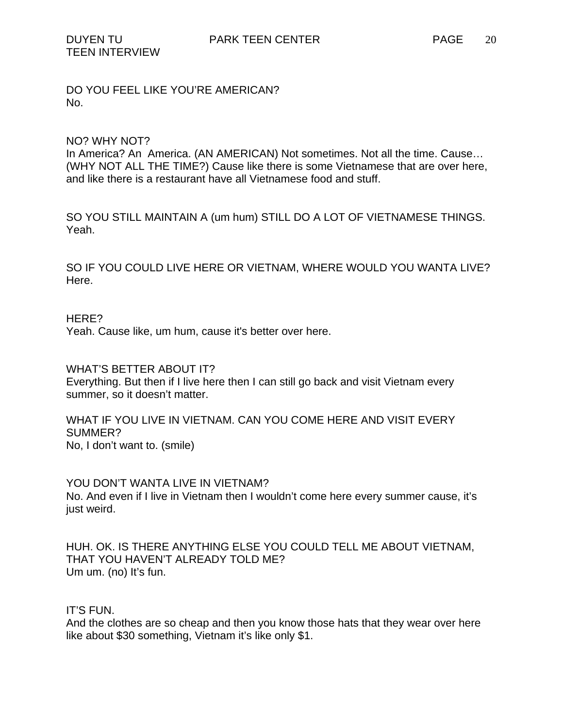DO YOU FEEL LIKE YOU'RE AMERICAN? No.

#### NO? WHY NOT?

In America? An America. (AN AMERICAN) Not sometimes. Not all the time. Cause… (WHY NOT ALL THE TIME?) Cause like there is some Vietnamese that are over here, and like there is a restaurant have all Vietnamese food and stuff.

SO YOU STILL MAINTAIN A (um hum) STILL DO A LOT OF VIETNAMESE THINGS. Yeah.

SO IF YOU COULD LIVE HERE OR VIETNAM, WHERE WOULD YOU WANTA LIVE? Here.

#### HERE?

Yeah. Cause like, um hum, cause it's better over here.

WHAT'S BETTER ABOUT IT? Everything. But then if I live here then I can still go back and visit Vietnam every summer, so it doesn't matter.

WHAT IF YOU LIVE IN VIETNAM. CAN YOU COME HERE AND VISIT EVERY SUMMER? No, I don't want to. (smile)

YOU DON'T WANTA LIVE IN VIETNAM? No. And even if I live in Vietnam then I wouldn't come here every summer cause, it's just weird.

HUH. OK. IS THERE ANYTHING ELSE YOU COULD TELL ME ABOUT VIETNAM, THAT YOU HAVEN'T ALREADY TOLD ME? Um um. (no) It's fun.

IT'S FUN.

And the clothes are so cheap and then you know those hats that they wear over here like about \$30 something, Vietnam it's like only \$1.